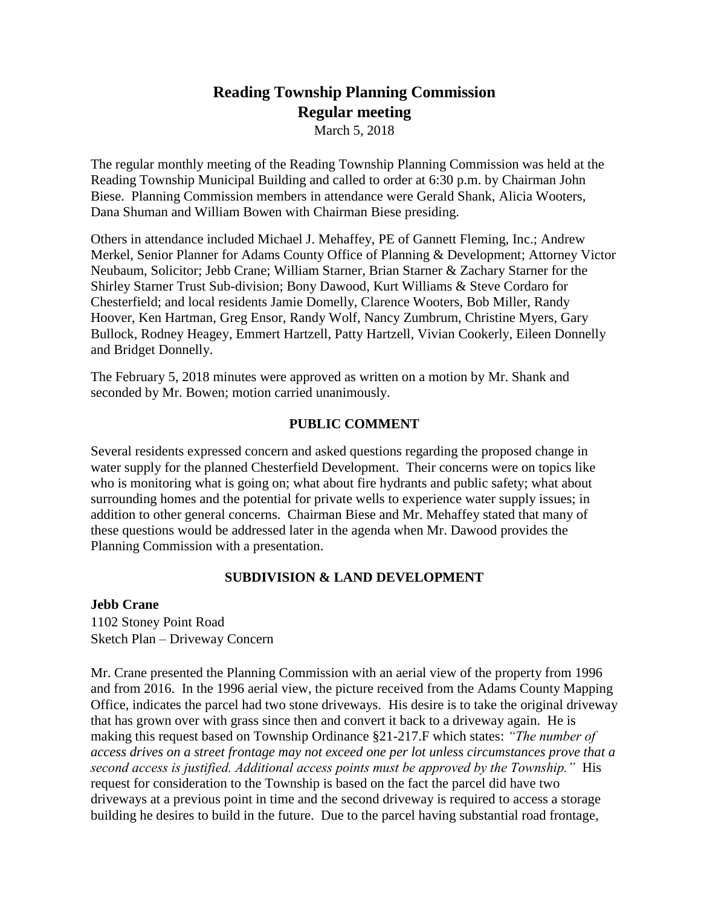# **Reading Township Planning Commission Regular meeting**

March 5, 2018

The regular monthly meeting of the Reading Township Planning Commission was held at the Reading Township Municipal Building and called to order at 6:30 p.m. by Chairman John Biese. Planning Commission members in attendance were Gerald Shank, Alicia Wooters, Dana Shuman and William Bowen with Chairman Biese presiding.

Others in attendance included Michael J. Mehaffey, PE of Gannett Fleming, Inc.; Andrew Merkel, Senior Planner for Adams County Office of Planning & Development; Attorney Victor Neubaum, Solicitor; Jebb Crane; William Starner, Brian Starner & Zachary Starner for the Shirley Starner Trust Sub-division; Bony Dawood, Kurt Williams & Steve Cordaro for Chesterfield; and local residents Jamie Domelly, Clarence Wooters, Bob Miller, Randy Hoover, Ken Hartman, Greg Ensor, Randy Wolf, Nancy Zumbrum, Christine Myers, Gary Bullock, Rodney Heagey, Emmert Hartzell, Patty Hartzell, Vivian Cookerly, Eileen Donnelly and Bridget Donnelly.

The February 5, 2018 minutes were approved as written on a motion by Mr. Shank and seconded by Mr. Bowen; motion carried unanimously.

# **PUBLIC COMMENT**

Several residents expressed concern and asked questions regarding the proposed change in water supply for the planned Chesterfield Development. Their concerns were on topics like who is monitoring what is going on; what about fire hydrants and public safety; what about surrounding homes and the potential for private wells to experience water supply issues; in addition to other general concerns. Chairman Biese and Mr. Mehaffey stated that many of these questions would be addressed later in the agenda when Mr. Dawood provides the Planning Commission with a presentation.

## **SUBDIVISION & LAND DEVELOPMENT**

**Jebb Crane** 1102 Stoney Point Road Sketch Plan – Driveway Concern

Mr. Crane presented the Planning Commission with an aerial view of the property from 1996 and from 2016. In the 1996 aerial view, the picture received from the Adams County Mapping Office, indicates the parcel had two stone driveways. His desire is to take the original driveway that has grown over with grass since then and convert it back to a driveway again. He is making this request based on Township Ordinance §21-217.F which states: *"The number of access drives on a street frontage may not exceed one per lot unless circumstances prove that a second access is justified. Additional access points must be approved by the Township."* His request for consideration to the Township is based on the fact the parcel did have two driveways at a previous point in time and the second driveway is required to access a storage building he desires to build in the future. Due to the parcel having substantial road frontage,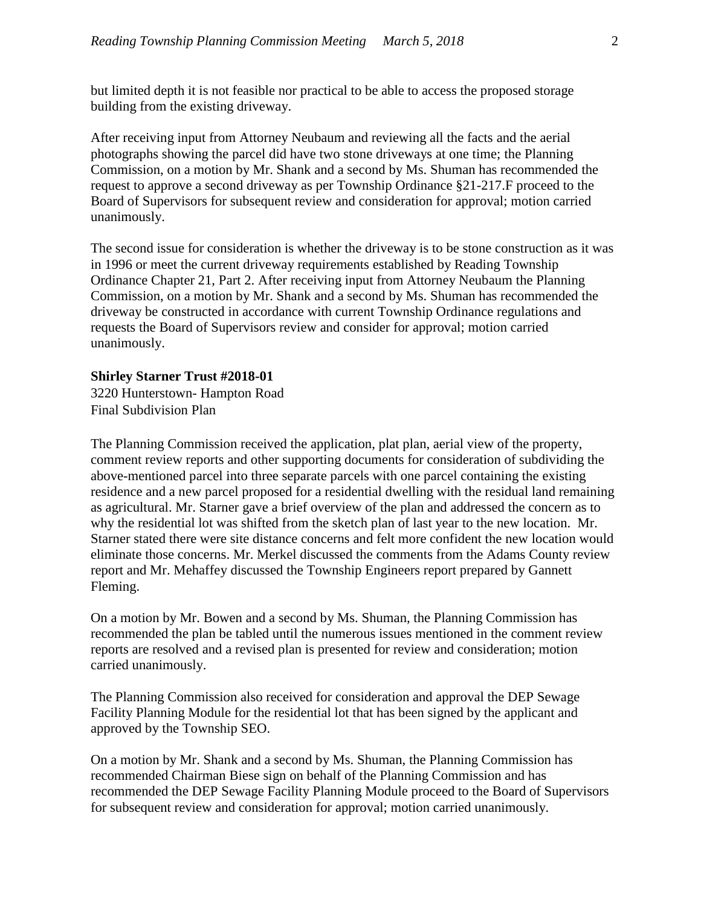but limited depth it is not feasible nor practical to be able to access the proposed storage building from the existing driveway.

After receiving input from Attorney Neubaum and reviewing all the facts and the aerial photographs showing the parcel did have two stone driveways at one time; the Planning Commission, on a motion by Mr. Shank and a second by Ms. Shuman has recommended the request to approve a second driveway as per Township Ordinance §21-217.F proceed to the Board of Supervisors for subsequent review and consideration for approval; motion carried unanimously.

The second issue for consideration is whether the driveway is to be stone construction as it was in 1996 or meet the current driveway requirements established by Reading Township Ordinance Chapter 21, Part 2. After receiving input from Attorney Neubaum the Planning Commission, on a motion by Mr. Shank and a second by Ms. Shuman has recommended the driveway be constructed in accordance with current Township Ordinance regulations and requests the Board of Supervisors review and consider for approval; motion carried unanimously.

#### **Shirley Starner Trust #2018-01**

3220 Hunterstown- Hampton Road Final Subdivision Plan

The Planning Commission received the application, plat plan, aerial view of the property, comment review reports and other supporting documents for consideration of subdividing the above-mentioned parcel into three separate parcels with one parcel containing the existing residence and a new parcel proposed for a residential dwelling with the residual land remaining as agricultural. Mr. Starner gave a brief overview of the plan and addressed the concern as to why the residential lot was shifted from the sketch plan of last year to the new location. Mr. Starner stated there were site distance concerns and felt more confident the new location would eliminate those concerns. Mr. Merkel discussed the comments from the Adams County review report and Mr. Mehaffey discussed the Township Engineers report prepared by Gannett Fleming.

On a motion by Mr. Bowen and a second by Ms. Shuman, the Planning Commission has recommended the plan be tabled until the numerous issues mentioned in the comment review reports are resolved and a revised plan is presented for review and consideration; motion carried unanimously.

The Planning Commission also received for consideration and approval the DEP Sewage Facility Planning Module for the residential lot that has been signed by the applicant and approved by the Township SEO.

On a motion by Mr. Shank and a second by Ms. Shuman, the Planning Commission has recommended Chairman Biese sign on behalf of the Planning Commission and has recommended the DEP Sewage Facility Planning Module proceed to the Board of Supervisors for subsequent review and consideration for approval; motion carried unanimously.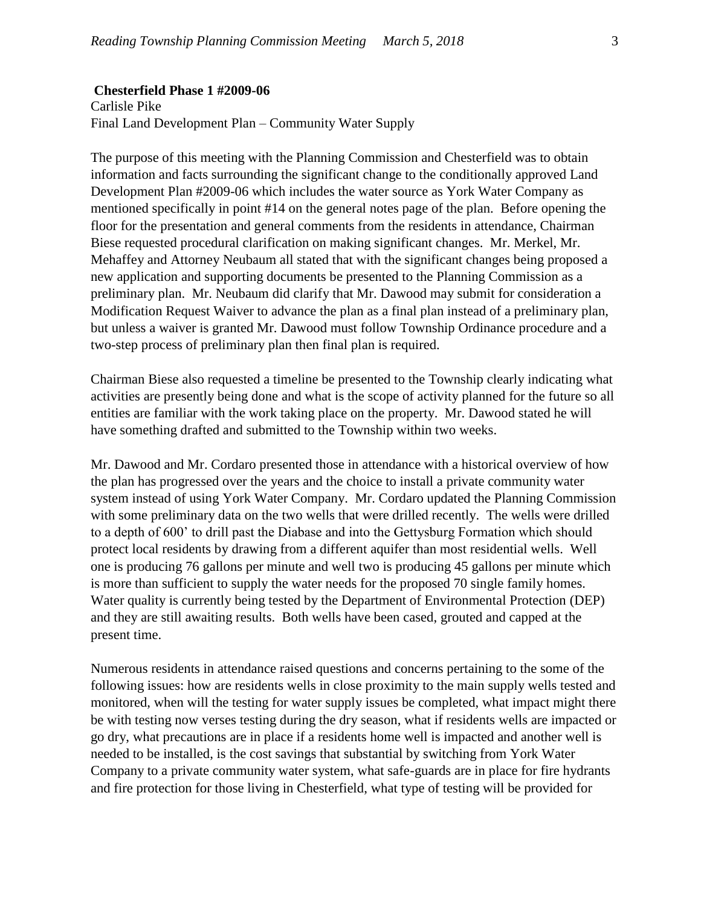#### **Chesterfield Phase 1 #2009-06**

Carlisle Pike Final Land Development Plan – Community Water Supply

The purpose of this meeting with the Planning Commission and Chesterfield was to obtain information and facts surrounding the significant change to the conditionally approved Land Development Plan #2009-06 which includes the water source as York Water Company as mentioned specifically in point #14 on the general notes page of the plan. Before opening the floor for the presentation and general comments from the residents in attendance, Chairman Biese requested procedural clarification on making significant changes. Mr. Merkel, Mr. Mehaffey and Attorney Neubaum all stated that with the significant changes being proposed a new application and supporting documents be presented to the Planning Commission as a preliminary plan. Mr. Neubaum did clarify that Mr. Dawood may submit for consideration a Modification Request Waiver to advance the plan as a final plan instead of a preliminary plan, but unless a waiver is granted Mr. Dawood must follow Township Ordinance procedure and a two-step process of preliminary plan then final plan is required.

Chairman Biese also requested a timeline be presented to the Township clearly indicating what activities are presently being done and what is the scope of activity planned for the future so all entities are familiar with the work taking place on the property. Mr. Dawood stated he will have something drafted and submitted to the Township within two weeks.

Mr. Dawood and Mr. Cordaro presented those in attendance with a historical overview of how the plan has progressed over the years and the choice to install a private community water system instead of using York Water Company. Mr. Cordaro updated the Planning Commission with some preliminary data on the two wells that were drilled recently. The wells were drilled to a depth of 600' to drill past the Diabase and into the Gettysburg Formation which should protect local residents by drawing from a different aquifer than most residential wells. Well one is producing 76 gallons per minute and well two is producing 45 gallons per minute which is more than sufficient to supply the water needs for the proposed 70 single family homes. Water quality is currently being tested by the Department of Environmental Protection (DEP) and they are still awaiting results. Both wells have been cased, grouted and capped at the present time.

Numerous residents in attendance raised questions and concerns pertaining to the some of the following issues: how are residents wells in close proximity to the main supply wells tested and monitored, when will the testing for water supply issues be completed, what impact might there be with testing now verses testing during the dry season, what if residents wells are impacted or go dry, what precautions are in place if a residents home well is impacted and another well is needed to be installed, is the cost savings that substantial by switching from York Water Company to a private community water system, what safe-guards are in place for fire hydrants and fire protection for those living in Chesterfield, what type of testing will be provided for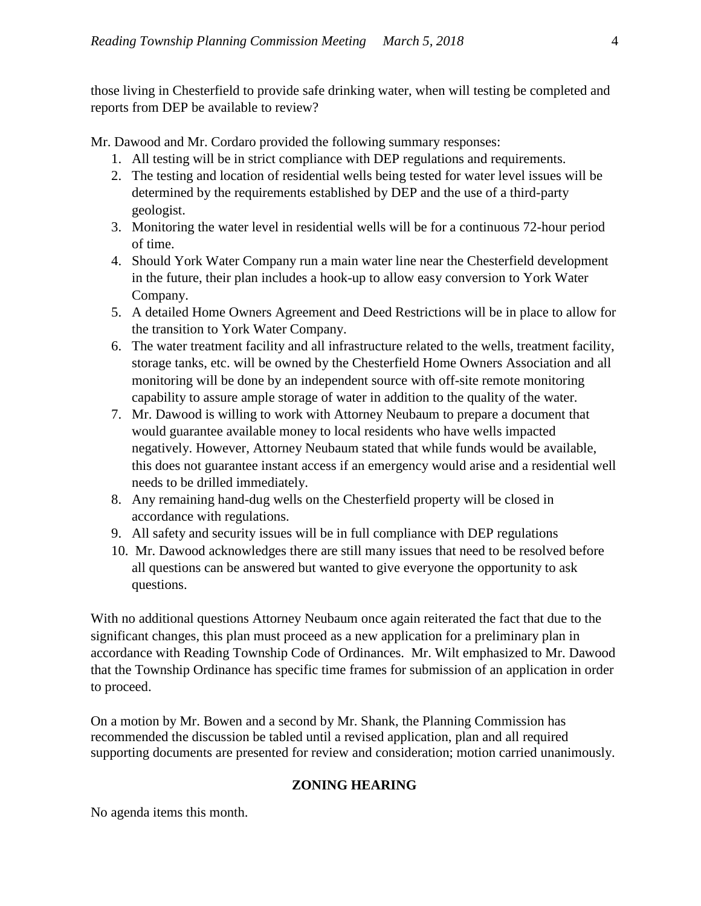those living in Chesterfield to provide safe drinking water, when will testing be completed and reports from DEP be available to review?

Mr. Dawood and Mr. Cordaro provided the following summary responses:

- 1. All testing will be in strict compliance with DEP regulations and requirements.
- 2. The testing and location of residential wells being tested for water level issues will be determined by the requirements established by DEP and the use of a third-party geologist.
- 3. Monitoring the water level in residential wells will be for a continuous 72-hour period of time.
- 4. Should York Water Company run a main water line near the Chesterfield development in the future, their plan includes a hook-up to allow easy conversion to York Water Company.
- 5. A detailed Home Owners Agreement and Deed Restrictions will be in place to allow for the transition to York Water Company.
- 6. The water treatment facility and all infrastructure related to the wells, treatment facility, storage tanks, etc. will be owned by the Chesterfield Home Owners Association and all monitoring will be done by an independent source with off-site remote monitoring capability to assure ample storage of water in addition to the quality of the water.
- 7. Mr. Dawood is willing to work with Attorney Neubaum to prepare a document that would guarantee available money to local residents who have wells impacted negatively. However, Attorney Neubaum stated that while funds would be available, this does not guarantee instant access if an emergency would arise and a residential well needs to be drilled immediately.
- 8. Any remaining hand-dug wells on the Chesterfield property will be closed in accordance with regulations.
- 9. All safety and security issues will be in full compliance with DEP regulations
- 10. Mr. Dawood acknowledges there are still many issues that need to be resolved before all questions can be answered but wanted to give everyone the opportunity to ask questions.

With no additional questions Attorney Neubaum once again reiterated the fact that due to the significant changes, this plan must proceed as a new application for a preliminary plan in accordance with Reading Township Code of Ordinances. Mr. Wilt emphasized to Mr. Dawood that the Township Ordinance has specific time frames for submission of an application in order to proceed.

On a motion by Mr. Bowen and a second by Mr. Shank, the Planning Commission has recommended the discussion be tabled until a revised application, plan and all required supporting documents are presented for review and consideration; motion carried unanimously.

# **ZONING HEARING**

No agenda items this month.